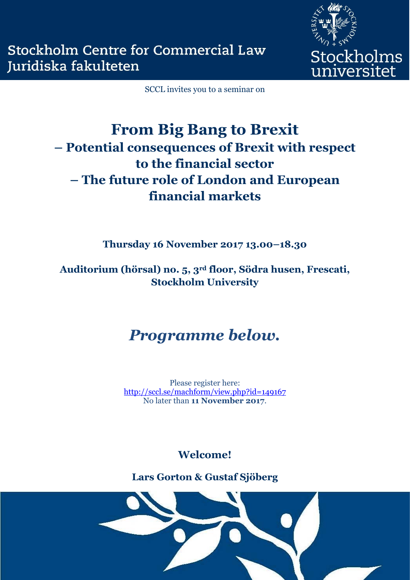

SCCL invites you to a seminar on

# **From Big Bang to Brexit – Potential consequences of Brexit with respect to the financial sector – The future role of London and European financial markets**

**Thursday 16 November 2017 13.00–18.30**

**Auditorium (hörsal) no. 5, 3rd floor, Södra husen, Frescati, Stockholm University**

## *Programme below.*

Please register here: <http://sccl.se/machform/view.php?id=149167> No later than **11 November 2017**.

**Welcome!** 

**Lars Gorton & Gustaf Sjöberg**

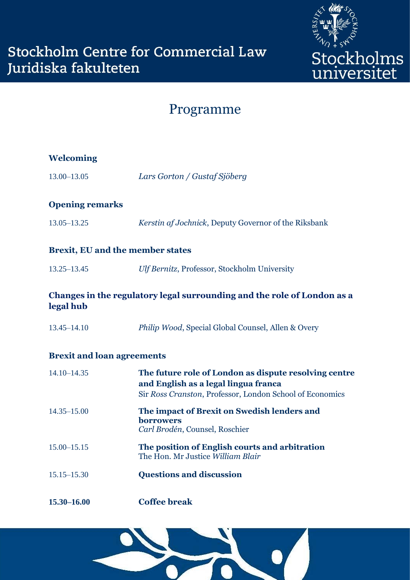

## Programme

| <b>Welcoming</b>                        |                                                                                                                                                           |
|-----------------------------------------|-----------------------------------------------------------------------------------------------------------------------------------------------------------|
| 13.00-13.05                             | Lars Gorton / Gustaf Sjöberg                                                                                                                              |
| <b>Opening remarks</b>                  |                                                                                                                                                           |
| $13.05 - 13.25$                         | Kerstin af Jochnick, Deputy Governor of the Riksbank                                                                                                      |
| <b>Brexit, EU and the member states</b> |                                                                                                                                                           |
| $13.25 - 13.45$                         | Ulf Bernitz, Professor, Stockholm University                                                                                                              |
| legal hub                               | Changes in the regulatory legal surrounding and the role of London as a                                                                                   |
| $13.45 - 14.10$                         | Philip Wood, Special Global Counsel, Allen & Overy                                                                                                        |
| <b>Brexit and loan agreements</b>       |                                                                                                                                                           |
| 14.10-14.35                             | The future role of London as dispute resolving centre<br>and English as a legal lingua franca<br>Sir Ross Cranston, Professor, London School of Economics |
| $14.35 - 15.00$                         | The impact of Brexit on Swedish lenders and<br>borrowers<br>Carl Brodén, Counsel, Roschier                                                                |
| $15.00 - 15.15$                         | The position of English courts and arbitration<br>The Hon. Mr Justice William Blair                                                                       |
| $15.15 - 15.30$                         | <b>Questions and discussion</b>                                                                                                                           |
| 15.30-16.00                             | <b>Coffee break</b>                                                                                                                                       |